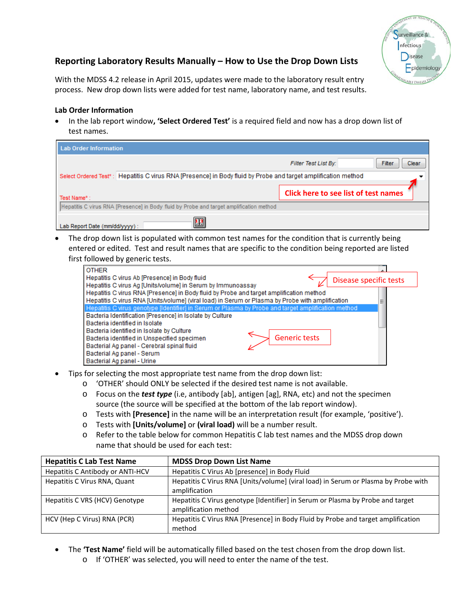

## **Reporting Laboratory Results Manually – How to Use the Drop Down Lists**

With the MDSS 4.2 release in April 2015, updates were made to the laboratory result entry process. New drop down lists were added for test name, laboratory name, and test results.

## **Lab Order Information**

• In the lab report window**, 'Select Ordered Test'** is a required field and now has a drop down list of test names.

| Lab Order Information                                                                                         |                                         |  |  |  |  |
|---------------------------------------------------------------------------------------------------------------|-----------------------------------------|--|--|--|--|
|                                                                                                               | Filter<br>Filter Test List By:<br>Clear |  |  |  |  |
| Select Ordered Test*: Hepatitis C virus RNA [Presence] in Body fluid by Probe and target amplification method |                                         |  |  |  |  |
| Test Name*:                                                                                                   | Click here to see list of test names    |  |  |  |  |
| Hepatitis C virus RNA [Presence] in Body fluid by Probe and target amplification method                       |                                         |  |  |  |  |
| 匷<br>Lab Report Date (mm/dd/yyyy):                                                                            |                                         |  |  |  |  |

• The drop down list is populated with common test names for the condition that is currently being entered or edited. Test and result names that are specific to the condition being reported are listed first followed by generic tests.

| <b>OTHER</b>                                                                                                                           |  |
|----------------------------------------------------------------------------------------------------------------------------------------|--|
| Hepatitis C virus Ab [Presence] in Body fluid<br>Disease specific tests<br>Hepatitis C virus Ag [Units/volume] in Serum by Immunoassay |  |
| Hepatitis C virus RNA [Presence] in Body fluid by Probe and target amplification method                                                |  |
| Hepatitis C virus RNA [Units/volume] (viral load) in Serum or Plasma by Probe with amplification                                       |  |
| Hepatitis C virus genotype [Identifier] in Serum or Plasma by Probe and target amplification method                                    |  |
| Bacteria Identification [Presence] in Isolate by Culture                                                                               |  |
| Bacteria identified in Isolate                                                                                                         |  |
| Bacteria identified in Isolate by Culture                                                                                              |  |
| <b>Generic tests</b><br>Bacteria identified in Unspecified specimen                                                                    |  |
| Bacterial Ag panel - Cerebral spinal fluid                                                                                             |  |
| Bacterial Ag panel - Serum                                                                                                             |  |
| Bacterial Ag panel - Urine                                                                                                             |  |

- Tips for selecting the most appropriate test name from the drop down list:
	- o 'OTHER' should ONLY be selected if the desired test name is not available.
	- o Focus on the *test type* (i.e, antibody [ab], antigen [ag], RNA, etc) and not the specimen source (the source will be specified at the bottom of the lab report window).
	- o Tests with **[Presence]** in the name will be an interpretation result (for example, 'positive').
	- o Tests with **[Units/volume]** or **(viral load)** will be a number result.
	- o Refer to the table below for common Hepatitis C lab test names and the MDSS drop down name that should be used for each test:

| <b>Hepatitis C Lab Test Name</b> | <b>MDSS Drop Down List Name</b>                                                                        |
|----------------------------------|--------------------------------------------------------------------------------------------------------|
| Hepatitis C Antibody or ANTI-HCV | Hepatitis C Virus Ab [presence] in Body Fluid                                                          |
| Hepatitis C Virus RNA, Quant     | Hepatitis C Virus RNA [Units/volume] (viral load) in Serum or Plasma by Probe with<br>amplification    |
| Hepatitis C VRS (HCV) Genotype   | Hepatitis C Virus genotype [Identifier] in Serum or Plasma by Probe and target<br>amplification method |
| HCV (Hep C Virus) RNA (PCR)      | Hepatitis C Virus RNA [Presence] in Body Fluid by Probe and target amplification<br>method             |

- The **'Test Name'** field will be automatically filled based on the test chosen from the drop down list.
	- o If 'OTHER' was selected, you will need to enter the name of the test.